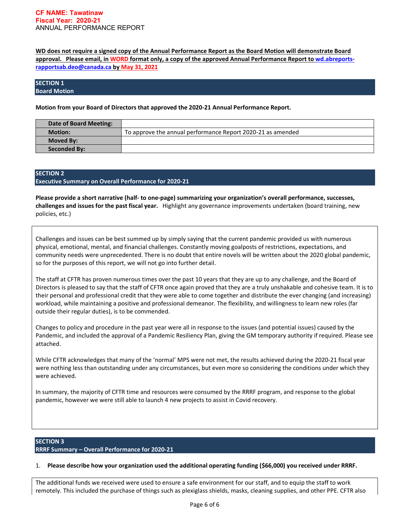**WD does not require a signed copy of the Annual Performance Report as the Board Motion will demonstrate Board approval. Please email, in WORD format only, a copy of the approved Annual Performance Report to [wd.abreports](about:blank)[rapportsab.deo@canada.ca](about:blank) by May 31, 2021** 

### **SECTION 1 Board Motion**

**Motion from your Board of Directors that approved the 2020-21 Annual Performance Report.**

| Date of Board Meeting: |                                                             |
|------------------------|-------------------------------------------------------------|
| <b>Motion:</b>         | To approve the annual performance Report 2020-21 as amended |
| <b>Moved By:</b>       |                                                             |
| <b>Seconded By:</b>    |                                                             |

# **SECTION 2 Executive Summary on Overall Performance for 2020-21**

**Please provide a short narrative (half- to one-page) summarizing your organization's overall performance, successes, challenges and issues for the past fiscal year.** Highlight any governance improvements undertaken (board training, new policies, etc.)

Challenges and issues can be best summed up by simply saying that the current pandemic provided us with numerous physical, emotional, mental, and financial challenges. Constantly moving goalposts of restrictions, expectations, and community needs were unprecedented. There is no doubt that entire novels will be written about the 2020 global pandemic, so for the purposes of this report, we will not go into further detail.

The staff at CFTR has proven numerous times over the past 10 years that they are up to any challenge, and the Board of Directors is pleased to say that the staff of CFTR once again proved that they are a truly unshakable and cohesive team. It is to their personal and professional credit that they were able to come together and distribute the ever changing (and increasing) workload, while maintaining a positive and professional demeanor. The flexibility, and willingness to learn new roles (far outside their regular duties), is to be commended.

Changes to policy and procedure in the past year were all in response to the issues (and potential issues) caused by the Pandemic, and included the approval of a Pandemic Resiliency Plan, giving the GM temporary authority if required. Please see attached.

While CFTR acknowledges that many of the 'normal' MPS were not met, the results achieved during the 2020-21 fiscal year were nothing less than outstanding under any circumstances, but even more so considering the conditions under which they were achieved.

In summary, the majority of CFTR time and resources were consumed by the RRRF program, and response to the global pandemic, however we were still able to launch 4 new projects to assist in Covid recovery.

### **SECTION 3 RRRF Summary – Overall Performance for 2020-21**

1. **Please describe how your organization used the additional operating funding (\$66,000) you received under RRRF.**

The additional funds we received were used to ensure a safe environment for our staff, and to equip the staff to work remotely. This included the purchase of things such as plexiglass shields, masks, cleaning supplies, and other PPE. CFTR also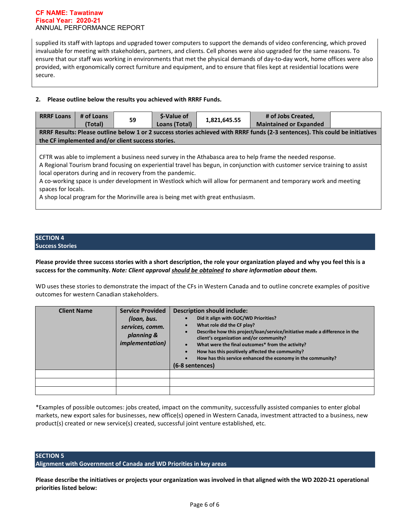#### **CF NAME: Tawatinaw Fiscal Year: 2020-21** ANNUAL PERFORMANCE REPORT

supplied its staff with laptops and upgraded tower computers to support the demands of video conferencing, which proved invaluable for meeting with stakeholders, partners, and clients. Cell phones were also upgraded for the same reasons. To ensure that our staff was working in environments that met the physical demands of day-to-day work, home offices were also provided, with ergonomically correct furniture and equipment, and to ensure that files kept at residential locations were secure.

# **2. Please outline below the results you achieved with RRRF Funds.**

| <b>RRRF Loans</b>                                                                                                             | # of Loans<br>(Total) | 59 | <b>S-Value of</b><br>Loans (Total) | 1,821,645.55 | # of Jobs Created,<br><b>Maintained or Expanded</b> |  |
|-------------------------------------------------------------------------------------------------------------------------------|-----------------------|----|------------------------------------|--------------|-----------------------------------------------------|--|
| RRRF Results: Please outline below 1 or 2 success stories achieved with RRRF funds (2-3 sentences). This could be initiatives |                       |    |                                    |              |                                                     |  |
| the CF implemented and/or client success stories.                                                                             |                       |    |                                    |              |                                                     |  |

CFTR was able to implement a business need survey in the Athabasca area to help frame the needed response. A Regional Tourism brand focusing on experiential travel has begun, in conjunction with customer service training to assist local operators during and in recovery from the pandemic.

A co-working space is under development in Westlock which will allow for permanent and temporary work and meeting spaces for locals.

A shop local program for the Morinville area is being met with great enthusiasm.

#### **SECTION 4 Success Stories**

**Please provide three success stories with a short description, the role your organization played and why you feel this is a success for the community.** *Note: Client approval should be obtained to share information about them.*

WD uses these stories to demonstrate the impact of the CFs in Western Canada and to outline concrete examples of positive outcomes for western Canadian stakeholders.

| <b>Client Name</b> | <b>Service Provided</b><br>(loan, bus.<br>services, comm.<br>planning &<br><i>implementation)</i> | <b>Description should include:</b><br>Did it align with GOC/WD Priorities?<br>What role did the CF play?<br>$\bullet$<br>Describe how this project/loan/service/initiative made a difference in the<br>$\bullet$<br>client's organization and/or community?<br>What were the final outcomes* from the activity?<br>$\bullet$<br>How has this positively affected the community?<br>$\bullet$<br>How has this service enhanced the economy in the community?<br>$\bullet$<br>(6-8 sentences) |
|--------------------|---------------------------------------------------------------------------------------------------|---------------------------------------------------------------------------------------------------------------------------------------------------------------------------------------------------------------------------------------------------------------------------------------------------------------------------------------------------------------------------------------------------------------------------------------------------------------------------------------------|
|                    |                                                                                                   |                                                                                                                                                                                                                                                                                                                                                                                                                                                                                             |
|                    |                                                                                                   |                                                                                                                                                                                                                                                                                                                                                                                                                                                                                             |
|                    |                                                                                                   |                                                                                                                                                                                                                                                                                                                                                                                                                                                                                             |

\*Examples of possible outcomes: jobs created, impact on the community, successfully assisted companies to enter global markets, new export sales for businesses, new office(s) opened in Western Canada, investment attracted to a business, new product(s) created or new service(s) created, successful joint venture established, etc.

# **SECTION 5**

**Alignment with Government of Canada and WD Priorities in key areas**

**Please describe the initiatives or projects your organization was involved in that aligned with the WD 2020-21 operational priorities listed below:**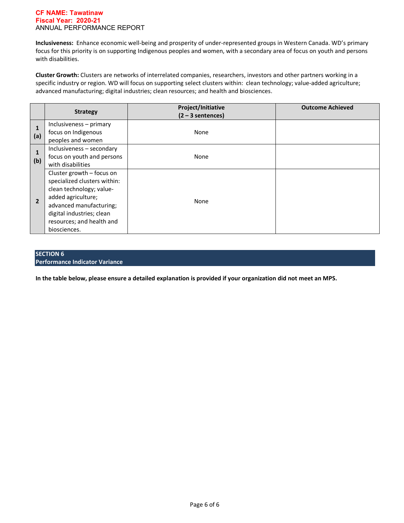#### **CF NAME: Tawatinaw Fiscal Year: 2020-21** ANNUAL PERFORMANCE REPORT

**Inclusiveness:** Enhance economic well-being and prosperity of under-represented groups in Western Canada. WD's primary focus for this priority is on supporting Indigenous peoples and women, with a secondary area of focus on youth and persons with disabilities.

**Cluster Growth:** Clusters are networks of interrelated companies, researchers, investors and other partners working in a specific industry or region. WD will focus on supporting select clusters within: clean technology; value-added agriculture; advanced manufacturing; digital industries; clean resources; and health and biosciences.

|                | <b>Strategy</b>                                                                                                                                                                                                  | Project/Initiative<br>$(2 - 3$ sentences) | <b>Outcome Achieved</b> |
|----------------|------------------------------------------------------------------------------------------------------------------------------------------------------------------------------------------------------------------|-------------------------------------------|-------------------------|
| (a)            | Inclusiveness - primary<br>focus on Indigenous<br>peoples and women                                                                                                                                              | None                                      |                         |
| (b)            | Inclusiveness - secondary<br>focus on youth and persons<br>with disabilities                                                                                                                                     | None                                      |                         |
| $\overline{2}$ | Cluster growth - focus on<br>specialized clusters within:<br>clean technology; value-<br>added agriculture;<br>advanced manufacturing;<br>digital industries; clean<br>resources; and health and<br>biosciences. | None                                      |                         |

# **SECTION 6 Performance Indicator Variance**

**In the table below, please ensure a detailed explanation is provided if your organization did not meet an MPS.**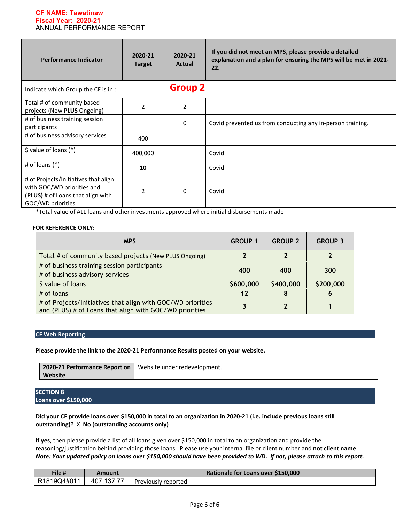#### **CF NAME: Tawatinaw Fiscal Year: 2020-21** ANNUAL PERFORMANCE REPORT

| <b>Performance Indicator</b>                                                                                                 | 2020-21<br><b>Target</b> | 2020-21<br><b>Actual</b> | If you did not meet an MPS, please provide a detailed<br>explanation and a plan for ensuring the MPS will be met in 2021-<br>22. |
|------------------------------------------------------------------------------------------------------------------------------|--------------------------|--------------------------|----------------------------------------------------------------------------------------------------------------------------------|
| Indicate which Group the CF is in:                                                                                           |                          | <b>Group 2</b>           |                                                                                                                                  |
| Total # of community based<br>projects (New PLUS Ongoing)                                                                    | $\overline{2}$           | 2                        |                                                                                                                                  |
| # of business training session<br>participants                                                                               |                          | 0                        | Covid prevented us from conducting any in-person training.                                                                       |
| # of business advisory services                                                                                              | 400                      |                          |                                                                                                                                  |
| $\frac{1}{2}$ value of loans (*)                                                                                             | 400,000                  |                          | Covid                                                                                                                            |
| # of loans $(*)$                                                                                                             | 10                       |                          | Covid                                                                                                                            |
| # of Projects/Initiatives that align<br>with GOC/WD priorities and<br>(PLUS) # of Loans that align with<br>GOC/WD priorities | $\overline{2}$           | 0                        | Covid                                                                                                                            |

\*Total value of ALL loans and other investments approved where initial disbursements made

### **FOR REFERENCE ONLY:**

| <b>MPS</b>                                                                                                             | <b>GROUP 1</b> | <b>GROUP 2</b> | <b>GROUP 3</b> |
|------------------------------------------------------------------------------------------------------------------------|----------------|----------------|----------------|
| Total # of community based projects (New PLUS Ongoing)                                                                 | כי             | <sup>2</sup>   |                |
| # of business training session participants                                                                            | 400            | 400            | 300            |
| # of business advisory services                                                                                        |                |                |                |
| \$ value of loans                                                                                                      | \$600,000      | \$400,000      | \$200,000      |
| # of loans                                                                                                             | 12             | 8              | O              |
| # of Projects/Initiatives that align with GOC/WD priorities<br>and (PLUS) # of Loans that align with GOC/WD priorities |                |                |                |

### **CF Web Reporting**

**Please provide the link to the 2020-21 Performance Results posted on your website.** 

| 2020-21 Performance Report on   Website under redevelopment. |  |
|--------------------------------------------------------------|--|
| Website                                                      |  |

# **SECTION 8 Loans over \$150,000**

**Did your CF provide loans over \$150,000 in total to an organization in 2020-21 (i.e. include previous loans still outstanding)?** X **No (outstanding accounts only)**

**If yes**, then please provide a list of all loans given over \$150,000 in total to an organization and provide the reasoning/justification behind providing those loans. Please use your internal file or client number and **not client name**. *Note: Your updated policy on loans over \$150,000 should have been provided to WD. If not, please attach to this report.*

| File #      | Amount     | Rationale for Loans over \$150,000 |
|-------------|------------|------------------------------------|
| R1819Q4#011 | 407,137.77 | Previously reported                |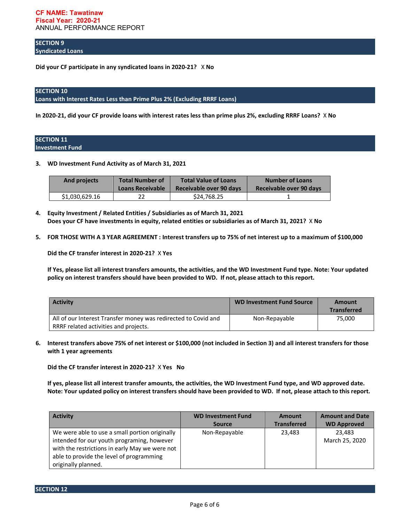**SECTION 9 Syndicated Loans**

**Did your CF participate in any syndicated loans in 2020-21?** X **No**

# **SECTION 10**

**Loans with Interest Rates Less than Prime Plus 2% (Excluding RRRF Loans)**

**In 2020-21, did your CF provide loans with interest rates less than prime plus 2%, excluding RRRF Loans?** X **No**

### **SECTION 11 Investment Fund**

**3. WD Investment Fund Activity as of March 31, 2021**

| And projects   | <b>Total Number of</b>  | <b>Total Value of Loans</b> | <b>Number of Loans</b>  |
|----------------|-------------------------|-----------------------------|-------------------------|
|                | <b>Loans Receivable</b> | Receivable over 90 days     | Receivable over 90 days |
| \$1,030,629.16 | 22                      | \$24.768.25                 |                         |

- **4. Equity Investment / Related Entities / Subsidiaries as of March 31, 2021 Does your CF have investments in equity, related entities or subsidiaries as of March 31, 2021?** X **No**
- **5. FOR THOSE WITH A 3 YEAR AGREEMENT : Interest transfers up to 75% of net interest up to a maximum of \$100,000**

**Did the CF transfer interest in 2020-21?** X **Yes**

**If Yes, please list all interest transfers amounts, the activities, and the WD Investment Fund type. Note: Your updated policy on interest transfers should have been provided to WD. If not, please attach to this report.**

| <b>Activity</b>                                                                                         | <b>WD Investment Fund Source</b> | Amount<br><b>Transferred</b> |
|---------------------------------------------------------------------------------------------------------|----------------------------------|------------------------------|
| All of our Interest Transfer money was redirected to Covid and<br>RRRF related activities and projects. | Non-Repayable                    | 75,000                       |

**6. Interest transfers above 75% of net interest or \$100,000 (not included in Section 3) and all interest transfers for those with 1 year agreements**

**Did the CF transfer interest in 2020-21?** X **Yes No**

**If yes, please list all interest transfer amounts, the activities, the WD Investment Fund type, and WD approved date. Note: Your updated policy on interest transfers should have been provided to WD. If not, please attach to this report.**

| <b>Activity</b>                                                                                                                                                                                                   | <b>WD Investment Fund</b> | <b>Amount</b>      | <b>Amount and Date</b>   |
|-------------------------------------------------------------------------------------------------------------------------------------------------------------------------------------------------------------------|---------------------------|--------------------|--------------------------|
|                                                                                                                                                                                                                   | <b>Source</b>             | <b>Transferred</b> | <b>WD Approved</b>       |
| We were able to use a small portion originally<br>intended for our youth programing, however<br>with the restrictions in early May we were not<br>able to provide the level of programming<br>originally planned. | Non-Repayable             | 23,483             | 23.483<br>March 25, 2020 |